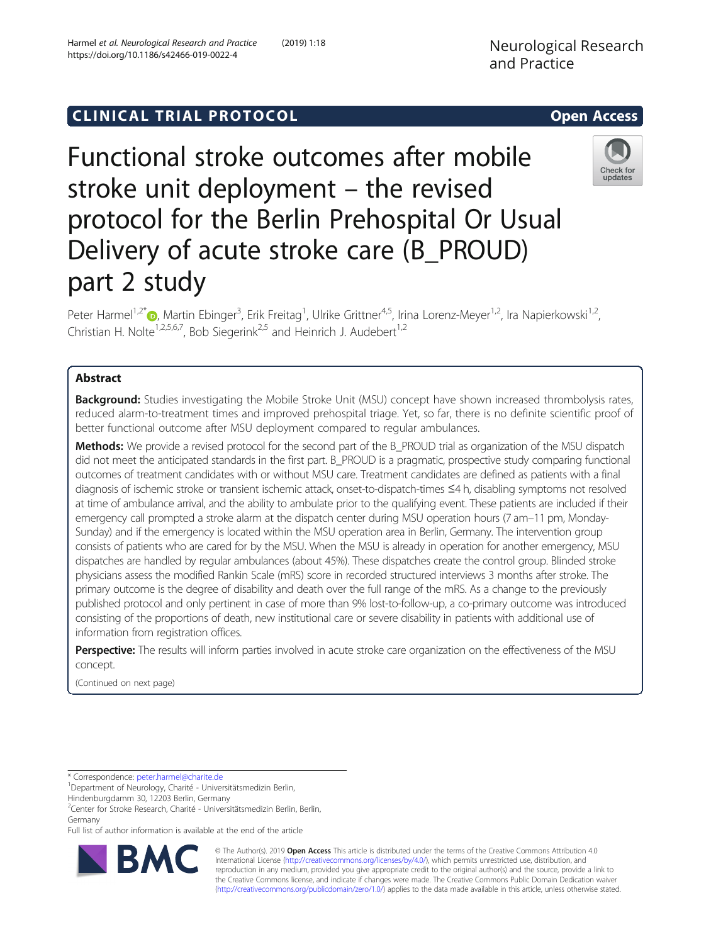Functional stroke outcomes after mobile stroke unit deployment – the revised protocol for the Berlin Prehospital Or Usual Delivery of acute stroke care (B\_PROUD) part 2 study

Peter Harmel<sup>1[,](http://orcid.org/0000-0003-0791-6559)2\*</sup>®, Martin Ebinger<sup>3</sup>, Erik Freitag<sup>1</sup>, Ulrike Grittner<sup>4,5</sup>, Irina Lorenz-Meyer<sup>1,2</sup>, Ira Napierkowski<sup>1,2</sup>, Christian H. Nolte<sup>1,2,5,6,7</sup>, Bob Siegerink<sup>2,5</sup> and Heinrich J. Audebert<sup>1,2</sup>

# Abstract

**Background:** Studies investigating the Mobile Stroke Unit (MSU) concept have shown increased thrombolysis rates, reduced alarm-to-treatment times and improved prehospital triage. Yet, so far, there is no definite scientific proof of better functional outcome after MSU deployment compared to regular ambulances.

Methods: We provide a revised protocol for the second part of the B\_PROUD trial as organization of the MSU dispatch did not meet the anticipated standards in the first part. B\_PROUD is a pragmatic, prospective study comparing functional outcomes of treatment candidates with or without MSU care. Treatment candidates are defined as patients with a final diagnosis of ischemic stroke or transient ischemic attack, onset-to-dispatch-times ≤4 h, disabling symptoms not resolved at time of ambulance arrival, and the ability to ambulate prior to the qualifying event. These patients are included if their emergency call prompted a stroke alarm at the dispatch center during MSU operation hours (7 am–11 pm, Monday-Sunday) and if the emergency is located within the MSU operation area in Berlin, Germany. The intervention group consists of patients who are cared for by the MSU. When the MSU is already in operation for another emergency, MSU dispatches are handled by regular ambulances (about 45%). These dispatches create the control group. Blinded stroke physicians assess the modified Rankin Scale (mRS) score in recorded structured interviews 3 months after stroke. The primary outcome is the degree of disability and death over the full range of the mRS. As a change to the previously published protocol and only pertinent in case of more than 9% lost-to-follow-up, a co-primary outcome was introduced consisting of the proportions of death, new institutional care or severe disability in patients with additional use of information from registration offices.

Perspective: The results will inform parties involved in acute stroke care organization on the effectiveness of the MSU concept.

(Continued on next page)

Department of Neurology, Charité - Universitätsmedizin Berlin,

2 Center for Stroke Research, Charité - Universitätsmedizin Berlin, Berlin, Germany

Full list of author information is available at the end of the article

© The Author(s). 2019 Open Access This article is distributed under the terms of the Creative Commons Attribution 4.0 International License [\(http://creativecommons.org/licenses/by/4.0/](http://creativecommons.org/licenses/by/4.0/)), which permits unrestricted use, distribution, and reproduction in any medium, provided you give appropriate credit to the original author(s) and the source, provide a link to the Creative Commons license, and indicate if changes were made. The Creative Commons Public Domain Dedication waiver [\(http://creativecommons.org/publicdomain/zero/1.0/](http://creativecommons.org/publicdomain/zero/1.0/)) applies to the data made available in this article, unless otherwise stated.





updates



<sup>\*</sup> Correspondence: [peter.harmel@charite.de](mailto:peter.harmel@charite.de) <sup>1</sup>

Hindenburgdamm 30, 12203 Berlin, Germany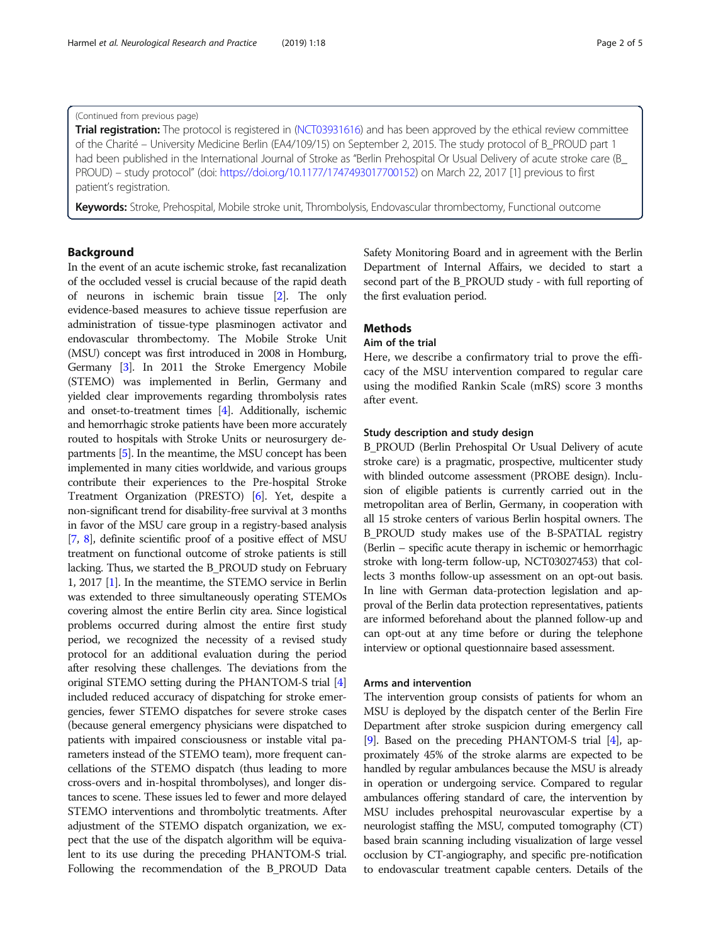# (Continued from previous page)

Trial registration: The protocol is registered in [\(NCT03931616\)](https://clinicaltrials.gov/ct2/show/NCT03931616) and has been approved by the ethical review committee of the Charité – University Medicine Berlin (EA4/109/15) on September 2, 2015. The study protocol of B\_PROUD part 1 had been published in the International Journal of Stroke as "Berlin Prehospital Or Usual Delivery of acute stroke care (B\_ PROUD) – study protocol" (doi: [https://doi.org/10.1177/1747493017700152\)](https://doi.org/10.1177/1747493017700152) on March 22, 2017 [1] previous to first patient's registration.

Keywords: Stroke, Prehospital, Mobile stroke unit, Thrombolysis, Endovascular thrombectomy, Functional outcome

# Background

In the event of an acute ischemic stroke, fast recanalization of the occluded vessel is crucial because of the rapid death of neurons in ischemic brain tissue [\[2\]](#page-4-0). The only evidence-based measures to achieve tissue reperfusion are administration of tissue-type plasminogen activator and endovascular thrombectomy. The Mobile Stroke Unit (MSU) concept was first introduced in 2008 in Homburg, Germany [\[3\]](#page-4-0). In 2011 the Stroke Emergency Mobile (STEMO) was implemented in Berlin, Germany and yielded clear improvements regarding thrombolysis rates and onset-to-treatment times [[4](#page-4-0)]. Additionally, ischemic and hemorrhagic stroke patients have been more accurately routed to hospitals with Stroke Units or neurosurgery departments [\[5\]](#page-4-0). In the meantime, the MSU concept has been implemented in many cities worldwide, and various groups contribute their experiences to the Pre-hospital Stroke Treatment Organization (PRESTO) [\[6\]](#page-4-0). Yet, despite a non-significant trend for disability-free survival at 3 months in favor of the MSU care group in a registry-based analysis [[7](#page-4-0), [8\]](#page-4-0), definite scientific proof of a positive effect of MSU treatment on functional outcome of stroke patients is still lacking. Thus, we started the B\_PROUD study on February 1, 2017 [\[1](#page-4-0)]. In the meantime, the STEMO service in Berlin was extended to three simultaneously operating STEMOs covering almost the entire Berlin city area. Since logistical problems occurred during almost the entire first study period, we recognized the necessity of a revised study protocol for an additional evaluation during the period after resolving these challenges. The deviations from the original STEMO setting during the PHANTOM-S trial [[4](#page-4-0)] included reduced accuracy of dispatching for stroke emergencies, fewer STEMO dispatches for severe stroke cases (because general emergency physicians were dispatched to patients with impaired consciousness or instable vital parameters instead of the STEMO team), more frequent cancellations of the STEMO dispatch (thus leading to more cross-overs and in-hospital thrombolyses), and longer distances to scene. These issues led to fewer and more delayed STEMO interventions and thrombolytic treatments. After adjustment of the STEMO dispatch organization, we expect that the use of the dispatch algorithm will be equivalent to its use during the preceding PHANTOM-S trial. Following the recommendation of the B\_PROUD Data

Safety Monitoring Board and in agreement with the Berlin Department of Internal Affairs, we decided to start a second part of the B\_PROUD study - with full reporting of the first evaluation period.

# **Methods**

# Aim of the trial

Here, we describe a confirmatory trial to prove the efficacy of the MSU intervention compared to regular care using the modified Rankin Scale (mRS) score 3 months after event.

### Study description and study design

B\_PROUD (Berlin Prehospital Or Usual Delivery of acute stroke care) is a pragmatic, prospective, multicenter study with blinded outcome assessment (PROBE design). Inclusion of eligible patients is currently carried out in the metropolitan area of Berlin, Germany, in cooperation with all 15 stroke centers of various Berlin hospital owners. The B\_PROUD study makes use of the B-SPATIAL registry (Berlin – specific acute therapy in ischemic or hemorrhagic stroke with long-term follow-up, NCT03027453) that collects 3 months follow-up assessment on an opt-out basis. In line with German data-protection legislation and approval of the Berlin data protection representatives, patients are informed beforehand about the planned follow-up and can opt-out at any time before or during the telephone interview or optional questionnaire based assessment.

# Arms and intervention

The intervention group consists of patients for whom an MSU is deployed by the dispatch center of the Berlin Fire Department after stroke suspicion during emergency call [[9](#page-4-0)]. Based on the preceding PHANTOM-S trial [\[4\]](#page-4-0), approximately 45% of the stroke alarms are expected to be handled by regular ambulances because the MSU is already in operation or undergoing service. Compared to regular ambulances offering standard of care, the intervention by MSU includes prehospital neurovascular expertise by a neurologist staffing the MSU, computed tomography (CT) based brain scanning including visualization of large vessel occlusion by CT-angiography, and specific pre-notification to endovascular treatment capable centers. Details of the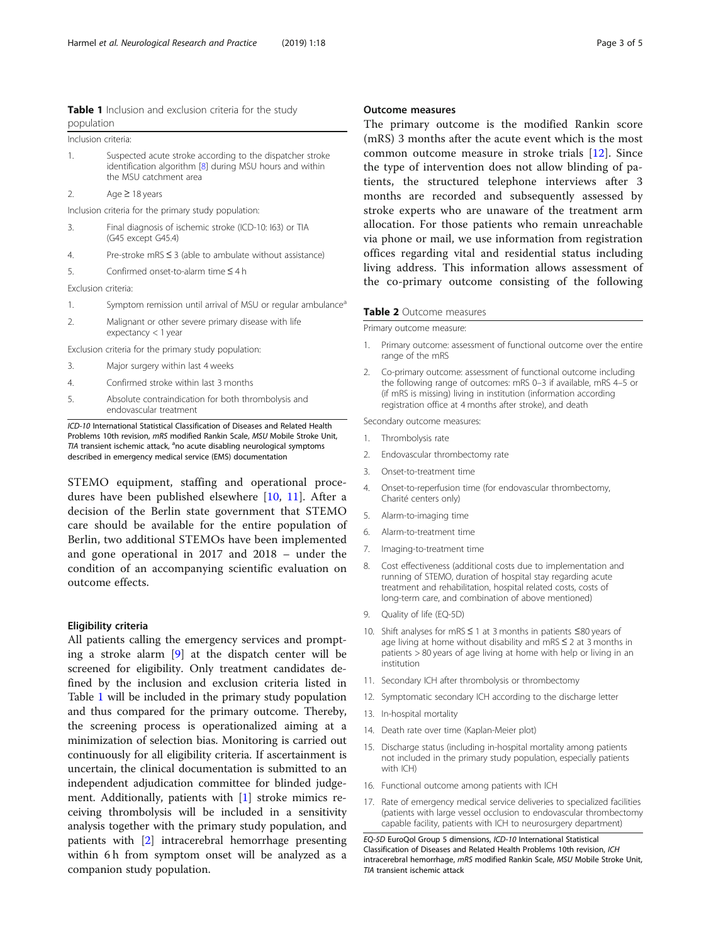<span id="page-2-0"></span>

|            | Table 1 Inclusion and exclusion criteria for the study |  |  |  |  |
|------------|--------------------------------------------------------|--|--|--|--|
| population |                                                        |  |  |  |  |

| Inclusion criteria:                                  |                                                                                                                                                 |  |  |  |
|------------------------------------------------------|-------------------------------------------------------------------------------------------------------------------------------------------------|--|--|--|
| 1.                                                   | Suspected acute stroke according to the dispatcher stroke<br>identification algorithm [8] during MSU hours and within<br>the MSU catchment area |  |  |  |
| 2.                                                   | Age $\geq$ 18 years                                                                                                                             |  |  |  |
| Inclusion criteria for the primary study population: |                                                                                                                                                 |  |  |  |
| 3.                                                   | Final diagnosis of ischemic stroke (ICD-10: 163) or TIA<br>(G45 except G45.4)                                                                   |  |  |  |
| 4.                                                   | Pre-stroke mRS $\leq$ 3 (able to ambulate without assistance)                                                                                   |  |  |  |
| 5.                                                   | Confirmed onset-to-alarm time $\leq 4$ h                                                                                                        |  |  |  |
| Exclusion criteria:                                  |                                                                                                                                                 |  |  |  |
| 1.                                                   | Symptom remission until arrival of MSU or regular ambulance <sup>a</sup>                                                                        |  |  |  |
| $\mathfrak{D}$                                       | Malignant or other severe primary disease with life<br>expectancy $<$ 1 year                                                                    |  |  |  |
| Exclusion criteria for the primary study population: |                                                                                                                                                 |  |  |  |

- 3. Major surgery within last 4 weeks
- 4. Confirmed stroke within last 3 months
- 5. Absolute contraindication for both thrombolysis and endovascular treatment

ICD-10 International Statistical Classification of Diseases and Related Health Problems 10th revision, mRS modified Rankin Scale, MSU Mobile Stroke Unit, TIA transient ischemic attack, <sup>a</sup>no acute disabling neurological symptoms described in emergency medical service (EMS) documentation

STEMO equipment, staffing and operational procedures have been published elsewhere [[10,](#page-4-0) [11](#page-4-0)]. After a decision of the Berlin state government that STEMO care should be available for the entire population of Berlin, two additional STEMOs have been implemented and gone operational in 2017 and 2018 – under the condition of an accompanying scientific evaluation on outcome effects.

## Eligibility criteria

All patients calling the emergency services and prompting a stroke alarm [[9](#page-4-0)] at the dispatch center will be screened for eligibility. Only treatment candidates defined by the inclusion and exclusion criteria listed in Table 1 will be included in the primary study population and thus compared for the primary outcome. Thereby, the screening process is operationalized aiming at a minimization of selection bias. Monitoring is carried out continuously for all eligibility criteria. If ascertainment is uncertain, the clinical documentation is submitted to an independent adjudication committee for blinded judgement. Additionally, patients with [[1\]](#page-4-0) stroke mimics receiving thrombolysis will be included in a sensitivity analysis together with the primary study population, and patients with [\[2](#page-4-0)] intracerebral hemorrhage presenting within 6 h from symptom onset will be analyzed as a companion study population.

The primary outcome is the modified Rankin score (mRS) 3 months after the acute event which is the most common outcome measure in stroke trials [[12\]](#page-4-0). Since the type of intervention does not allow blinding of patients, the structured telephone interviews after 3 months are recorded and subsequently assessed by stroke experts who are unaware of the treatment arm allocation. For those patients who remain unreachable via phone or mail, we use information from registration offices regarding vital and residential status including living address. This information allows assessment of the co-primary outcome consisting of the following

#### Table 2 Outcome measures

Primary outcome measure:

- 1. Primary outcome: assessment of functional outcome over the entire range of the mRS
- 2. Co-primary outcome: assessment of functional outcome including the following range of outcomes: mRS 0–3 if available, mRS 4–5 or (if mRS is missing) living in institution (information according registration office at 4 months after stroke), and death

Secondary outcome measures:

- 1. Thrombolysis rate
- 2. Endovascular thrombectomy rate
- 3. Onset-to-treatment time
- 4. Onset-to-reperfusion time (for endovascular thrombectomy, Charité centers only)
- 5. Alarm-to-imaging time
- 6. Alarm-to-treatment time
- 7. Imaging-to-treatment time
- 8. Cost effectiveness (additional costs due to implementation and running of STEMO, duration of hospital stay regarding acute treatment and rehabilitation, hospital related costs, costs of long-term care, and combination of above mentioned)
- 9. Quality of life (EQ-5D)
- 10. Shift analyses for mRS ≤ 1 at 3 months in patients ≤80 years of age living at home without disability and mRS ≤ 2 at 3 months in patients > 80 years of age living at home with help or living in an institution
- 11. Secondary ICH after thrombolysis or thrombectomy
- 12. Symptomatic secondary ICH according to the discharge letter
- 13. In-hospital mortality
- 14. Death rate over time (Kaplan-Meier plot)
- 15. Discharge status (including in-hospital mortality among patients not included in the primary study population, especially patients with ICH)
- 16. Functional outcome among patients with ICH
- 17. Rate of emergency medical service deliveries to specialized facilities (patients with large vessel occlusion to endovascular thrombectomy capable facility, patients with ICH to neurosurgery department)

EQ-5D EuroQol Group 5 dimensions, ICD-10 International Statistical Classification of Diseases and Related Health Problems 10th revision, ICH intracerebral hemorrhage, mRS modified Rankin Scale, MSU Mobile Stroke Unit, TIA transient ischemic attack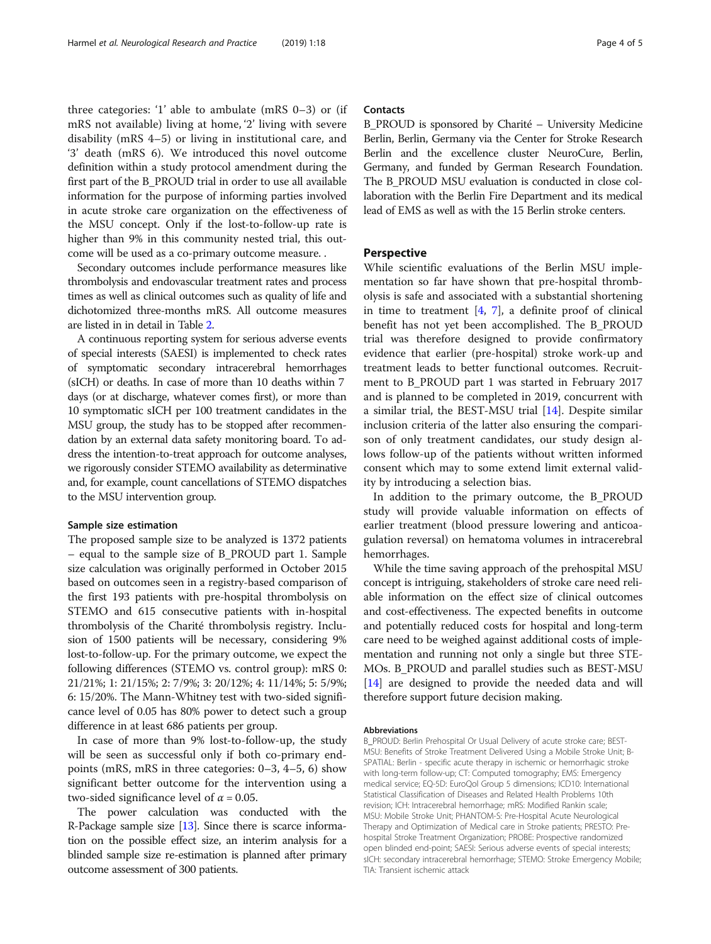three categories: '1' able to ambulate (mRS 0–3) or (if mRS not available) living at home, '2' living with severe disability (mRS 4–5) or living in institutional care, and '3' death (mRS 6). We introduced this novel outcome definition within a study protocol amendment during the first part of the B\_PROUD trial in order to use all available information for the purpose of informing parties involved in acute stroke care organization on the effectiveness of the MSU concept. Only if the lost-to-follow-up rate is higher than 9% in this community nested trial, this outcome will be used as a co-primary outcome measure. .

Secondary outcomes include performance measures like thrombolysis and endovascular treatment rates and process times as well as clinical outcomes such as quality of life and dichotomized three-months mRS. All outcome measures are listed in in detail in Table [2](#page-2-0).

A continuous reporting system for serious adverse events of special interests (SAESI) is implemented to check rates of symptomatic secondary intracerebral hemorrhages (sICH) or deaths. In case of more than 10 deaths within 7 days (or at discharge, whatever comes first), or more than 10 symptomatic sICH per 100 treatment candidates in the MSU group, the study has to be stopped after recommendation by an external data safety monitoring board. To address the intention-to-treat approach for outcome analyses, we rigorously consider STEMO availability as determinative and, for example, count cancellations of STEMO dispatches to the MSU intervention group.

### Sample size estimation

The proposed sample size to be analyzed is 1372 patients – equal to the sample size of B\_PROUD part 1. Sample size calculation was originally performed in October 2015 based on outcomes seen in a registry-based comparison of the first 193 patients with pre-hospital thrombolysis on STEMO and 615 consecutive patients with in-hospital thrombolysis of the Charité thrombolysis registry. Inclusion of 1500 patients will be necessary, considering 9% lost-to-follow-up. For the primary outcome, we expect the following differences (STEMO vs. control group): mRS 0: 21/21%; 1: 21/15%; 2: 7/9%; 3: 20/12%; 4: 11/14%; 5: 5/9%; 6: 15/20%. The Mann-Whitney test with two-sided significance level of 0.05 has 80% power to detect such a group difference in at least 686 patients per group.

In case of more than 9% lost-to-follow-up, the study will be seen as successful only if both co-primary endpoints (mRS, mRS in three categories: 0–3, 4–5, 6) show significant better outcome for the intervention using a two-sided significance level of  $\alpha$  = 0.05.

The power calculation was conducted with the R-Package sample size  $[13]$  $[13]$  $[13]$ . Since there is scarce information on the possible effect size, an interim analysis for a blinded sample size re-estimation is planned after primary outcome assessment of 300 patients.

# **Contacts**

B\_PROUD is sponsored by Charité – University Medicine Berlin, Berlin, Germany via the Center for Stroke Research Berlin and the excellence cluster NeuroCure, Berlin, Germany, and funded by German Research Foundation. The B\_PROUD MSU evaluation is conducted in close collaboration with the Berlin Fire Department and its medical lead of EMS as well as with the 15 Berlin stroke centers.

# Perspective

While scientific evaluations of the Berlin MSU implementation so far have shown that pre-hospital thrombolysis is safe and associated with a substantial shortening in time to treatment  $[4, 7]$  $[4, 7]$  $[4, 7]$ , a definite proof of clinical benefit has not yet been accomplished. The B\_PROUD trial was therefore designed to provide confirmatory evidence that earlier (pre-hospital) stroke work-up and treatment leads to better functional outcomes. Recruitment to B\_PROUD part 1 was started in February 2017 and is planned to be completed in 2019, concurrent with a similar trial, the BEST-MSU trial [[14](#page-4-0)]. Despite similar inclusion criteria of the latter also ensuring the comparison of only treatment candidates, our study design allows follow-up of the patients without written informed consent which may to some extend limit external validity by introducing a selection bias.

In addition to the primary outcome, the B\_PROUD study will provide valuable information on effects of earlier treatment (blood pressure lowering and anticoagulation reversal) on hematoma volumes in intracerebral hemorrhages.

While the time saving approach of the prehospital MSU concept is intriguing, stakeholders of stroke care need reliable information on the effect size of clinical outcomes and cost-effectiveness. The expected benefits in outcome and potentially reduced costs for hospital and long-term care need to be weighed against additional costs of implementation and running not only a single but three STE-MOs. B\_PROUD and parallel studies such as BEST-MSU [[14](#page-4-0)] are designed to provide the needed data and will therefore support future decision making.

#### Abbreviations

B\_PROUD: Berlin Prehospital Or Usual Delivery of acute stroke care; BEST-MSU: Benefits of Stroke Treatment Delivered Using a Mobile Stroke Unit; B-SPATIAL: Berlin - specific acute therapy in ischemic or hemorrhagic stroke with long-term follow-up; CT: Computed tomography; EMS: Emergency medical service; EQ-5D: EuroQol Group 5 dimensions; ICD10: International Statistical Classification of Diseases and Related Health Problems 10th revision; ICH: Intracerebral hemorrhage; mRS: Modified Rankin scale; MSU: Mobile Stroke Unit; PHANTOM-S: Pre-Hospital Acute Neurological Therapy and Optimization of Medical care in Stroke patients; PRESTO: Prehospital Stroke Treatment Organization; PROBE: Prospective randomized open blinded end-point; SAESI: Serious adverse events of special interests; sICH: secondary intracerebral hemorrhage; STEMO: Stroke Emergency Mobile; TIA: Transient ischemic attack